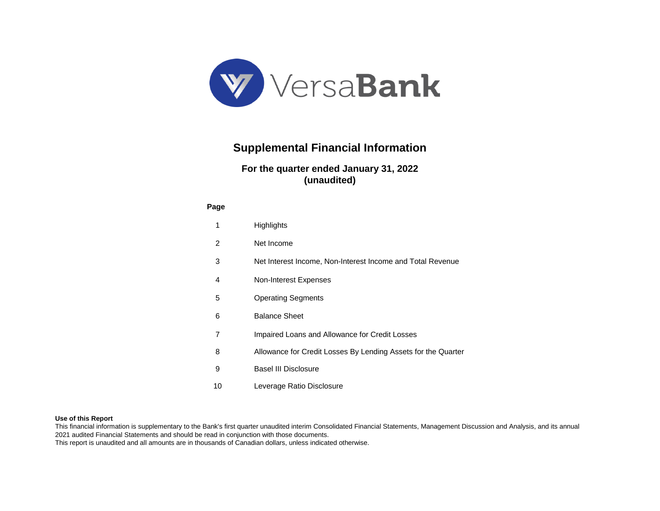

# **Supplemental Financial Information**

## **For the quarter ended January 31, 2022 (unaudited)**

## **Page**

| 1  | <b>Highlights</b>                                             |
|----|---------------------------------------------------------------|
| 2  | Net Income                                                    |
| 3  | Net Interest Income, Non-Interest Income and Total Revenue    |
| 4  | Non-Interest Expenses                                         |
| 5  | <b>Operating Segments</b>                                     |
| 6  | <b>Balance Sheet</b>                                          |
| 7  | Impaired Loans and Allowance for Credit Losses                |
| 8  | Allowance for Credit Losses By Lending Assets for the Quarter |
| 9  | <b>Basel III Disclosure</b>                                   |
| 10 | Leverage Ratio Disclosure                                     |

### **Use of this Report**

This financial information is supplementary to the Bank's first quarter unaudited interim Consolidated Financial Statements, Management Discussion and Analysis, and its annual 2021 audited Financial Statements and should be read in conjunction with those documents.

This report is unaudited and all amounts are in thousands of Canadian dollars, unless indicated otherwise.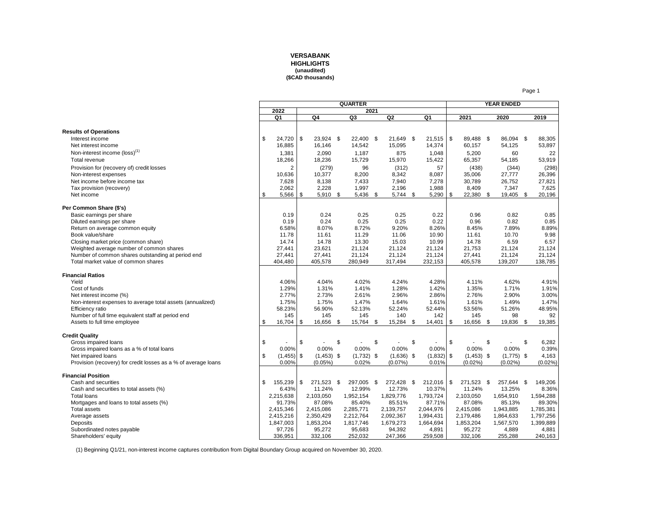#### **VERSABANK HIGHLIGHTS (unaudited) (\$CAD thousands)**

|                                                                | <b>QUARTER</b>         |    |                        |      |                        |      |                        |    |                        |    |                        |      | <b>YEAR ENDED</b>      |     |                        |
|----------------------------------------------------------------|------------------------|----|------------------------|------|------------------------|------|------------------------|----|------------------------|----|------------------------|------|------------------------|-----|------------------------|
|                                                                | 2022                   |    |                        |      | 2021                   |      |                        |    |                        |    |                        |      |                        |     |                        |
|                                                                | Q <sub>1</sub>         |    | Q <sub>4</sub>         |      | Q3                     |      | Q <sub>2</sub>         |    | Q <sub>1</sub>         |    | 2021                   |      | 2020                   |     | 2019                   |
|                                                                |                        |    |                        |      |                        |      |                        |    |                        |    |                        |      |                        |     |                        |
| <b>Results of Operations</b><br>Interest income                | \$<br>24,720           | \$ | 23,924 \$              |      | 22,400 \$              |      | 21,649                 | \$ |                        | \$ | 89,488                 | -\$  | 86,094 \$              |     | 88,305                 |
|                                                                |                        |    |                        |      |                        |      |                        |    | 21,515                 |    |                        |      |                        |     |                        |
| Net interest income                                            | 16,885                 |    | 16,146                 |      | 14,542                 |      | 15,095                 |    | 14,374                 |    | 60,157                 |      | 54,125                 |     | 53,897                 |
| Non-interest income (loss) <sup>(1)</sup>                      | 1,381                  |    | 2,090                  |      | 1,187                  |      | 875                    |    | 1,048                  |    | 5,200                  |      | 60                     |     | 22                     |
| Total revenue                                                  | 18,266                 |    | 18,236                 |      | 15,729                 |      | 15,970                 |    | 15,422                 |    | 65,357                 |      | 54,185                 |     | 53,919                 |
| Provision for (recovery of) credit losses                      | $\overline{2}$         |    | (279)                  |      | 96                     |      | (312)                  |    | 57                     |    | (438)                  |      | (344)                  |     | (298)                  |
| Non-interest expenses                                          | 10,636                 |    | 10,377                 |      | 8,200                  |      | 8,342                  |    | 8,087                  |    | 35,006                 |      | 27,777                 |     | 26,396                 |
| Net income before income tax                                   | 7,628                  |    | 8,138                  |      | 7,433                  |      | 7,940                  |    | 7,278                  |    | 30,789                 |      | 26,752                 |     | 27,821                 |
| Tax provision (recovery)                                       | 2,062                  |    | 2,228                  |      | 1,997                  |      | 2,196                  |    | 1,988                  |    | 8,409                  |      | 7,347                  |     | 7,625                  |
| Net income                                                     | \$<br>5,566            | \$ | $5,910$ \$             |      | 5,436                  | - \$ | 5.744                  | \$ | 5,290                  | \$ | 22,380                 | -\$  | 19,405                 | \$. | 20,196                 |
| Per Common Share (\$'s)                                        |                        |    |                        |      |                        |      |                        |    |                        |    |                        |      |                        |     |                        |
| Basic earnings per share                                       | 0.19                   |    | 0.24                   |      | 0.25                   |      | 0.25                   |    | 0.22                   |    | 0.96                   |      | 0.82                   |     | 0.85                   |
| Diluted earnings per share                                     | 0.19                   |    | 0.24                   |      | 0.25                   |      | 0.25                   |    | 0.22                   |    | 0.96                   |      | 0.82                   |     | 0.85                   |
| Return on average common equity                                | 6.58%                  |    | 8.07%                  |      | 8.72%                  |      | 9.20%                  |    | 8.26%                  |    | 8.45%                  |      | 7.89%                  |     | 8.89%                  |
| Book value/share                                               | 11.78                  |    | 11.61                  |      | 11.29                  |      | 11.06                  |    | 10.90                  |    | 11.61                  |      | 10.70                  |     | 9.98                   |
| Closing market price (common share)                            | 14.74                  |    | 14.78                  |      | 13.30                  |      | 15.03                  |    | 10.99                  |    | 14.78                  |      | 6.59                   |     | 6.57                   |
| Weighted average number of common shares                       | 27,441                 |    | 23,621                 |      | 21,124                 |      | 21,124                 |    | 21,124                 |    | 21,753                 |      | 21,124                 |     | 21,124                 |
| Number of common shares outstanding at period end              | 27,441                 |    | 27,441                 |      | 21,124                 |      | 21,124                 |    | 21,124                 |    | 27,441                 |      | 21,124                 |     | 21,124                 |
| Total market value of common shares                            | 404,480                |    | 405,578                |      | 280,949                |      | 317,494                |    | 232,153                |    | 405,578                |      | 139,207                |     | 138,785                |
| <b>Financial Ratios</b>                                        |                        |    |                        |      |                        |      |                        |    |                        |    |                        |      |                        |     |                        |
| Yield                                                          | 4.06%                  |    | 4.04%                  |      | 4.02%                  |      | 4.24%                  |    | 4.28%                  |    | 4.11%                  |      | 4.62%                  |     | 4.91%                  |
| Cost of funds                                                  | 1.29%                  |    | 1.31%                  |      | 1.41%                  |      | 1.28%                  |    | 1.42%                  |    | 1.35%                  |      | 1.71%                  |     | 1.91%                  |
| Net interest income (%)                                        | 2.77%                  |    | 2.73%                  |      | 2.61%                  |      | 2.96%                  |    | 2.86%                  |    | 2.76%                  |      | 2.90%                  |     | 3.00%                  |
| Non-interest expenses to average total assets (annualized)     | 1.75%                  |    | 1.75%                  |      | 1.47%                  |      | 1.64%                  |    | 1.61%                  |    | 1.61%                  |      | 1.49%                  |     | 1.47%                  |
| Efficiency ratio                                               | 58.23%                 |    | 56.90%                 |      | 52.13%                 |      | 52.24%                 |    | 52.44%                 |    | 53.56%                 |      | 51.26%                 |     | 48.95%                 |
| Number of full time equivalent staff at period end             | 145                    |    | 145                    |      | 145                    |      | 140                    |    | 142                    |    | 145                    |      | 98                     |     | 92                     |
| Assets to full time employee                                   | \$<br>16,704           | \$ | 16,656                 | - \$ | 15,764                 | - \$ | 15,284                 | \$ | 14,401                 | \$ | 16,656                 | - \$ | 19,836 \$              |     | 19,385                 |
| <b>Credit Quality</b>                                          |                        |    |                        |      |                        |      |                        |    |                        |    |                        |      |                        |     |                        |
| Gross impaired loans                                           | \$                     | \$ |                        | \$   |                        | \$   | $\frac{1}{2}$          | \$ |                        | \$ |                        | \$   |                        | \$  | 6,282                  |
| Gross impaired loans as a % of total loans                     | 0.00%                  |    | 0.00%                  |      | 0.00%                  |      | 0.00%                  |    | 0.00%                  |    | 0.00%                  |      | 0.00%                  |     | 0.39%                  |
| Net impaired loans                                             | \$<br>(1, 455)         | \$ | $(1,453)$ \$           |      | $(1,732)$ \$           |      | $(1,636)$ \$           |    | (1,832)                | \$ | $(1,453)$ \$           |      | $(1,775)$ \$           |     | 4,163                  |
| Provision (recovery) for credit losses as a % of average loans | 0.00%                  |    | (0.05%)                |      | 0.02%                  |      | (0.07%)                |    | 0.01%                  |    | $(0.02\%)$             |      | $(0.02\%)$             |     | $(0.02\%)$             |
|                                                                |                        |    |                        |      |                        |      |                        |    |                        |    |                        |      |                        |     |                        |
| <b>Financial Position</b>                                      |                        |    |                        |      |                        |      |                        |    |                        |    |                        |      |                        |     |                        |
| Cash and securities                                            | \$<br>155,239<br>6.43% | \$ | 271,523<br>11.24%      | -\$  | 297,005<br>12.99%      | - \$ | 272,428<br>12.73%      | \$ | 212,016                | \$ | 271,523                | -\$  | 257,644<br>13.25%      | \$  | 149,206                |
| Cash and securities to total assets (%)                        |                        |    |                        |      |                        |      |                        |    | 10.37%                 |    | 11.24%                 |      |                        |     | 8.36%                  |
| <b>Total loans</b>                                             | 2,215,638<br>91.73%    |    | 2,103,050<br>87.08%    |      | 1,952,154<br>85.40%    |      | 1,829,776<br>85.51%    |    | 1,793,724<br>87.71%    |    | 2,103,050<br>87.08%    |      | 1,654,910<br>85.13%    |     | 1,594,288<br>89.30%    |
| Mortgages and loans to total assets (%)                        |                        |    |                        |      |                        |      |                        |    |                        |    |                        |      |                        |     |                        |
| <b>Total assets</b>                                            | 2,415,346              |    | 2,415,086              |      | 2,285,771<br>2,212,764 |      | 2,139,757              |    | 2,044,976              |    | 2,415,086              |      | 1,943,885              |     | 1,785,381              |
| Average assets<br>Deposits                                     | 2,415,216<br>1,847,003 |    | 2,350,429<br>1,853,204 |      | 1,817,746              |      | 2,092,367<br>1,679,273 |    | 1,994,431<br>1,664,694 |    | 2,179,486<br>1,853,204 |      | 1,864,633<br>1,567,570 |     | 1,797,256<br>1,399,889 |
| Subordinated notes payable                                     | 97,726                 |    | 95,272                 |      | 95,683                 |      | 94,392                 |    | 4,891                  |    | 95,272                 |      | 4,889                  |     | 4,881                  |
| Shareholders' equity                                           | 336.951                |    | 332,106                |      | 252,032                |      | 247,366                |    | 259,508                |    | 332,106                |      | 255,288                |     | 240,163                |
|                                                                |                        |    |                        |      |                        |      |                        |    |                        |    |                        |      |                        |     |                        |

(1) Beginning Q1/21, non-interest income captures contribution from Digital Boundary Group acquired on November 30, 2020.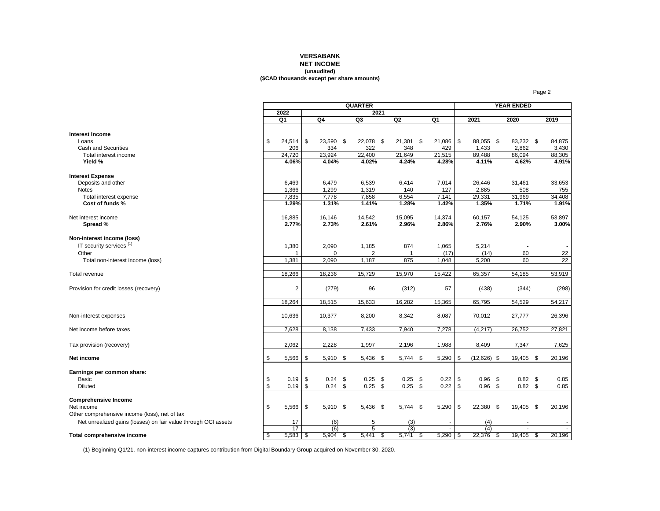## **VERSABANK**

#### **NET INCOME (unaudited) (\$CAD thousands except per share amounts)**

|                                                                |          |                         |            |              | <b>QUARTER</b> |                |              |     | <b>YEAR ENDED</b> |          |               |                 |     |                 |
|----------------------------------------------------------------|----------|-------------------------|------------|--------------|----------------|----------------|--------------|-----|-------------------|----------|---------------|-----------------|-----|-----------------|
|                                                                |          | 2022                    |            |              |                | 2021           |              |     |                   |          |               |                 |     |                 |
|                                                                |          | Q <sub>1</sub>          |            | Q4           | Q <sub>3</sub> |                | Q2           |     | Q <sub>1</sub>    |          | 2021          | 2020            |     | 2019            |
|                                                                |          |                         |            |              |                |                |              |     |                   |          |               |                 |     |                 |
| <b>Interest Income</b>                                         |          |                         |            |              |                |                |              |     |                   |          |               |                 |     |                 |
| Loans                                                          | \$       | 24,514                  | $\sqrt{3}$ | 23,590<br>\$ | 22,078 \$      |                | 21,301 \$    |     | 21,086            | \$       | 88,055 \$     | 83,232 \$       |     | 84,875          |
| <b>Cash and Securities</b>                                     |          | 206                     |            | 334          | 322            |                | 348          |     | 429               |          | 1,433         | 2,862           |     | 3,430           |
| Total interest income                                          |          | 24,720                  |            | 23,924       | 22,400         |                | 21,649       |     | 21,515            |          | 89,488        | 86,094<br>4.62% |     | 88,305<br>4.91% |
| Yield %                                                        |          | 4.06%                   |            | 4.04%        | 4.02%          |                | 4.24%        |     | 4.28%             |          | 4.11%         |                 |     |                 |
| <b>Interest Expense</b>                                        |          |                         |            |              |                |                |              |     |                   |          |               |                 |     |                 |
| Deposits and other                                             |          | 6,469                   |            | 6,479        | 6,539          |                | 6,414        |     | 7,014             |          | 26,446        | 31,461          |     | 33,653          |
| <b>Notes</b>                                                   |          | 1,366                   |            | 1,299        | 1,319          |                | 140          |     | 127               |          | 2,885         | 508             |     | 755             |
| Total interest expense                                         |          | 7,835                   |            | 7,778        | 7,858          |                | 6,554        |     | 7,141             |          | 29,331        | 31,969          |     | 34,408          |
| Cost of funds %                                                |          | 1.29%                   |            | 1.31%        | 1.41%          |                | 1.28%        |     | 1.42%             |          | 1.35%         | 1.71%           |     | 1.91%           |
|                                                                |          |                         |            |              |                |                |              |     |                   |          |               |                 |     |                 |
| Net interest income                                            |          | 16,885                  |            | 16,146       | 14,542         |                | 15,095       |     | 14,374            |          | 60,157        | 54,125          |     | 53,897          |
| Spread %                                                       |          | 2.77%                   |            | 2.73%        | 2.61%          |                | 2.96%        |     | 2.86%             |          | 2.76%         | 2.90%           |     | 3.00%           |
| Non-interest income (loss)                                     |          |                         |            |              |                |                |              |     |                   |          |               |                 |     |                 |
| IT security services <sup>(1)</sup>                            |          | 1,380                   |            | 2,090        | 1,185          |                | 874          |     | 1,065             |          | 5,214         |                 |     |                 |
| Other                                                          |          |                         |            | 0            |                | $\overline{2}$ | $\mathbf{1}$ |     | (17)              |          | (14)          | 60              |     | 22              |
| Total non-interest income (loss)                               |          | 1,381                   |            | 2,090        | 1,187          |                | 875          |     | 1.048             |          | 5,200         | 60              |     | 22              |
|                                                                |          |                         |            |              |                |                |              |     |                   |          |               |                 |     |                 |
| Total revenue                                                  |          | 18,266                  |            | 18,236       | 15,729         |                | 15,970       |     | 15,422            |          | 65,357        | 54,185          |     | 53,919          |
|                                                                |          |                         |            |              |                |                |              |     |                   |          |               |                 |     |                 |
| Provision for credit losses (recovery)                         |          | $\overline{\mathbf{c}}$ |            | (279)        |                | 96             | (312)        |     | 57                |          | (438)         | (344)           |     | (298)           |
|                                                                |          | 18,264                  |            | 18,515       | 15,633         |                | 16,282       |     | 15,365            |          | 65,795        | 54,529          |     | 54,217          |
|                                                                |          |                         |            |              |                |                |              |     |                   |          |               |                 |     |                 |
| Non-interest expenses                                          |          | 10,636                  |            | 10,377       | 8,200          |                | 8,342        |     | 8,087             |          | 70,012        | 27,777          |     | 26,396          |
|                                                                |          |                         |            |              |                |                |              |     |                   |          |               |                 |     |                 |
| Net income before taxes                                        |          | 7,628                   |            | 8,138        | 7,433          |                | 7,940        |     | 7,278             |          | (4, 217)      | 26,752          |     | 27,821          |
| Tax provision (recovery)                                       |          | 2,062                   |            | 2,228        | 1,997          |                | 2,196        |     | 1,988             |          | 8,409         | 7,347           |     | 7,625           |
|                                                                |          |                         |            |              |                |                |              |     |                   |          |               |                 |     |                 |
| Net income                                                     | \$       | 5,566                   | \$         | $5,910$ \$   |                | 5,436 \$       | $5,744$ \$   |     | 5,290             | \$       | $(12,626)$ \$ | 19,405 \$       |     | 20,196          |
| Earnings per common share:                                     |          |                         |            |              |                |                |              |     |                   |          |               |                 |     |                 |
| Basic                                                          |          | 0.19                    | $\sqrt{3}$ | $0.24$ \$    |                | $0.25$ \$      | $0.25$ \$    |     | 0.22              |          | $0.96$ \$     | $0.82$ \$       |     | 0.85            |
| <b>Diluted</b>                                                 | \$<br>\$ | 0.19                    | \$         | 0.24<br>\$   |                | $0.25$ \$      | $0.25$ \$    |     | 0.22              | \$<br>\$ | $0.96$ \$     | $0.82$ \$       |     | 0.85            |
|                                                                |          |                         |            |              |                |                |              |     |                   |          |               |                 |     |                 |
| <b>Comprehensive Income</b>                                    |          |                         |            |              |                |                |              |     |                   |          |               |                 |     |                 |
| Net income                                                     | \$       | 5,566                   | l \$       | $5,910$ \$   |                | 5,436 \$       | $5,744$ \$   |     | 5,290             | \$       | 22,380 \$     | 19,405 \$       |     | 20,196          |
| Other comprehensive income (loss), net of tax                  |          |                         |            |              |                |                |              |     |                   |          |               |                 |     |                 |
| Net unrealized gains (losses) on fair value through OCI assets |          | 17                      |            | (6)          |                | 5              | (3)          |     |                   |          | (4)           |                 |     |                 |
|                                                                |          | 17                      |            | (6)          |                | $\overline{5}$ | (3)          |     |                   |          | (4)           | $\blacksquare$  |     | $\sim$          |
| Total comprehensive income                                     | \$       | $5,583$ \ \$            |            | 5,904<br>\$  | 5,441          | \$             | 5,741        | -\$ | $5,290$ \ \$      |          | 22,376<br>\$  | 19,405          | -\$ | 20,196          |

Page 2

(1) Beginning Q1/21, non-interest income captures contribution from Digital Boundary Group acquired on November 30, 2020.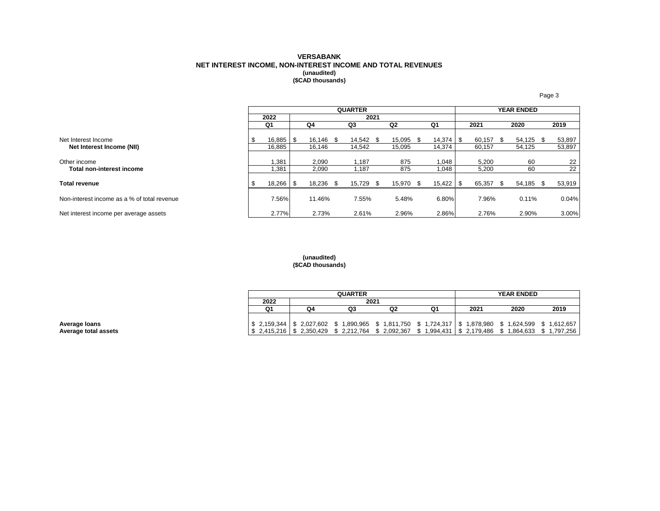## **VERSABANK NET INTEREST INCOME, NON-INTEREST INCOME AND TOTAL REVENUES (unaudited) (\$CAD thousands)**

Page 3

|                                             |      |             |           | <b>QUARTER</b> |      |           |      |        |     |        |      | <b>YEAR ENDED</b> |      |        |
|---------------------------------------------|------|-------------|-----------|----------------|------|-----------|------|--------|-----|--------|------|-------------------|------|--------|
|                                             |      | 2022        |           | 2021           |      |           |      |        |     |        |      |                   |      |        |
|                                             |      | Q1          | Q4        | Q3             |      | Q2        |      | Q1     |     | 2021   |      | 2020              |      | 2019   |
| Net Interest Income                         | - 30 | 16,885      | 16,146 \$ | 14,542         | - \$ | 15,095    | - \$ | 14,374 | 1 S | 60,157 | - SS | 54,125            | - SS | 53,897 |
| Net Interest Income (NII)                   |      | 16,885      | 16,146    | 14,542         |      | 15,095    |      | 14,374 |     | 60,157 |      | 54,125            |      | 53,897 |
| Other income                                |      | .381        | 2,090     | 1,187          |      | 875       |      | 1,048  |     | 5,200  |      | 60                |      | 22     |
| Total non-interest income                   |      | .381        | 2,090     | 1,187          |      | 875       |      | 048. ا |     | 5,200  |      | 60                |      | 22     |
| Total revenue                               |      | $18,266$ \$ | 18,236 \$ | 15,729         |      | 15,970 \$ |      |        |     | 65,357 |      | 54,185            | - \$ | 53,919 |
| Non-interest income as a % of total revenue |      | 7.56%       | 11.46%    | 7.55%          |      | 5.48%     |      | 6.80%  |     | 7.96%  |      | 0.11%             |      | 0.04%  |
| Net interest income per average assets      |      | 2.77%       | 2.73%     | 2.61%          |      | 2.96%     |      | 2.86%  |     | 2.76%  |      | 2.90%             |      | 3.00%  |

#### **(unaudited) (\$CAD thousands)**

|                      |                                                                                                   |    | <b>QUARTER</b> |    |    |      | <b>YEAR ENDED</b>                                                                                       |      |
|----------------------|---------------------------------------------------------------------------------------------------|----|----------------|----|----|------|---------------------------------------------------------------------------------------------------------|------|
|                      | 2022                                                                                              |    | 2021           |    |    |      |                                                                                                         |      |
|                      | Q1                                                                                                | Q4 | Q3             | Q2 | Q1 | 2021 | 2020                                                                                                    | 2019 |
|                      |                                                                                                   |    |                |    |    |      |                                                                                                         |      |
| Average Ioans        | \$2,159,344  \$2,027,602 \$1,890,965 \$1,811,750 \$1,724,317  \$1,878,980 \$1,624,599 \$1,612,657 |    |                |    |    |      |                                                                                                         |      |
| Average total assets |                                                                                                   |    |                |    |    |      | S 2.415.216 S 2.350.429 \$ 2.212.764 \$ 2.092.367 \$ 1.994.431 S 2.179.486 \$ 1.864.633 \$ 1.797.256 \$ |      |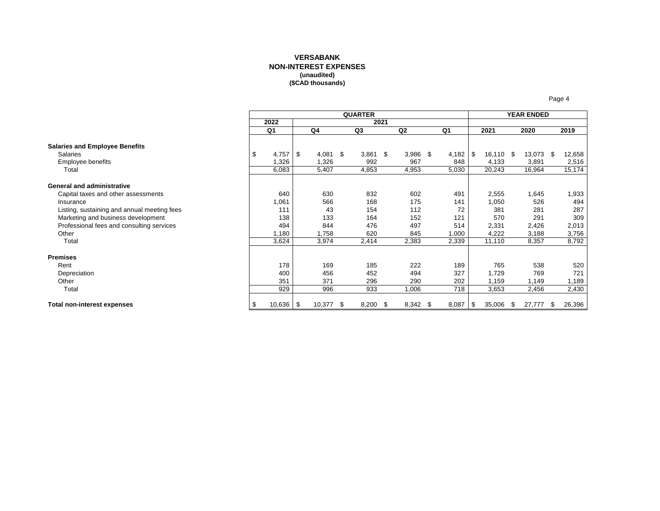## **VERSABANK NON-INTEREST EXPENSES (unaudited) (\$CAD thousands)**

|                                             |                |                  | <b>QUARTER</b>   |                |       | <b>YEAR ENDED</b> |             |        |
|---------------------------------------------|----------------|------------------|------------------|----------------|-------|-------------------|-------------|--------|
|                                             | 2022           |                  |                  | 2021           |       |                   |             |        |
|                                             | Q <sub>1</sub> | Q4               | Q3               | Q <sub>2</sub> | Q1    | 2021              | 2020        | 2019   |
| <b>Salaries and Employee Benefits</b>       |                |                  |                  |                |       |                   |             |        |
| <b>Salaries</b>                             | \$<br>4,757    | \$<br>$4,081$ \$ | $3,861$ \$       | $3,986$ \$     | 4,182 | \$<br>16,110 \$   | 13,073 \$   | 12,658 |
| Employee benefits                           | 1,326          | 1,326            | 992              | 967            | 848   | 4,133             | 3,891       | 2,516  |
| Total                                       | 6,083          | 5,407            | 4,853            | 4,953          | 5,030 | 20,243            | 16,964      | 15,174 |
|                                             |                |                  |                  |                |       |                   |             |        |
| <b>General and administrative</b>           |                |                  |                  |                |       |                   |             |        |
| Capital taxes and other assessments         | 640            | 630              | 832              | 602            | 491   | 2,555             | 1,645       | 1,933  |
| Insurance                                   | 1,061          | 566              | 168              | 175            | 141   | 1,050             | 526         | 494    |
| Listing, sustaining and annual meeting fees | 111            | 43               | 154              | 112            | 72    | 381               | 281         | 287    |
| Marketing and business development          | 138            | 133              | 164              | 152            | 121   | 570               | 291         | 309    |
| Professional fees and consulting services   | 494            | 844              | 476              | 497            | 514   | 2,331             | 2,426       | 2,013  |
| Other                                       | 1,180          | 1,758            | 620              | 845            | 1,000 | 4,222             | 3,188       | 3,756  |
| Total                                       | 3,624          | 3,974            | 2,414            | 2,383          | 2,339 | 11,110            | 8,357       | 8,792  |
| <b>Premises</b>                             |                |                  |                  |                |       |                   |             |        |
| Rent                                        | 178            | 169              | 185              | 222            | 189   | 765               | 538         | 520    |
| Depreciation                                | 400            | 456              | 452              | 494            | 327   | 1,729             | 769         | 721    |
| Other                                       | 351            | 371              | 296              | 290            | 202   | 1,159             | 1,149       | 1,189  |
| Total                                       | 929            | 996              | 933              | 1,006          | 718   | 3,653             | 2,456       | 2,430  |
|                                             |                |                  |                  |                |       |                   |             |        |
| <b>Total non-interest expenses</b>          | $10,636$ \$    | 10,377           | $8,200$ \$<br>\$ | $8,342$ \$     | 8,087 | \$<br>35,006      | 27,777<br>S | 26,396 |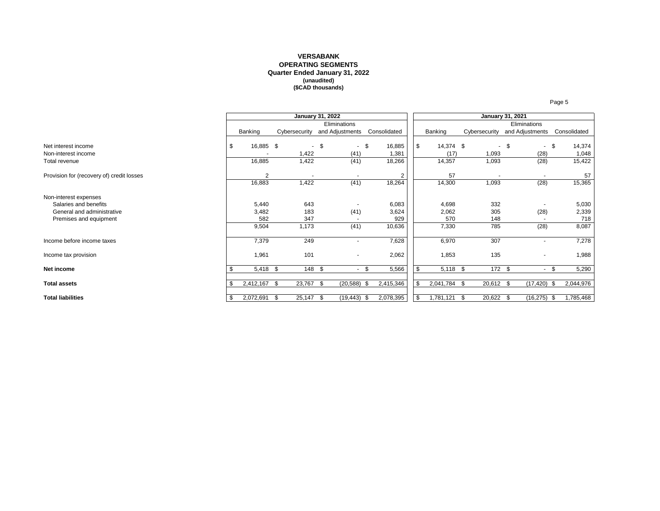### **VERSABANK OPERATING SEGMENTS Quarter Ended January 31, 2022 (unaudited) (\$CAD thousands)**

|                                            |                    |                                   | <b>January 31, 2022</b>  |        |                 |            |                   |                | <b>January 31, 2021</b>  |                   |
|--------------------------------------------|--------------------|-----------------------------------|--------------------------|--------|-----------------|------------|-------------------|----------------|--------------------------|-------------------|
|                                            |                    |                                   | Eliminations             |        |                 |            |                   |                | Eliminations             |                   |
|                                            | Banking            | Cybersecurity                     | and Adjustments          |        | Consolidated    |            | Banking           | Cybersecurity  | and Adjustments          | Consolidated      |
| Net interest income<br>Non-interest income | \$<br>16,885 \$    | $\overline{\phantom{a}}$<br>1,422 | -\$<br>(41)              | - \$   | 16,885<br>1,381 | - \$       | 14,374 \$<br>(17) | 1,093          | -\$<br>- \$<br>(28)      | 14,374<br>1,048   |
| Total revenue                              | 16,885             | 1,422                             | (41)                     |        | 18,266          |            | 14,357            | 1,093          | (28)                     | 15,422            |
|                                            | 2                  |                                   |                          |        | $\overline{2}$  |            | 57                |                |                          |                   |
| Provision for (recovery of) credit losses  | 16,883             | 1,422                             | (41)                     |        | 18,264          |            | 14,300            | 1,093          | (28)                     | 57<br>15,365      |
|                                            |                    |                                   |                          |        |                 |            |                   |                |                          |                   |
| Non-interest expenses                      |                    |                                   |                          |        |                 |            |                   |                |                          |                   |
| Salaries and benefits                      | 5,440              | 643                               |                          |        | 6,083           |            | 4,698             | 332            |                          | 5,030             |
| General and administrative                 | 3,482              | 183                               | (41)                     |        | 3,624           |            | 2,062             | 305            | (28)                     | 2,339             |
| Premises and equipment                     | 582                | 347                               |                          |        | 929             |            | 570               | 148            |                          | 718               |
|                                            | 9,504              | 1,173                             | (41)                     |        | 10,636          |            | 7,330             | 785            | (28)                     | 8,087             |
| Income before income taxes                 | 7,379              | 249                               |                          |        | 7,628           |            | 6,970             | 307            | $\overline{\phantom{0}}$ | 7,278             |
| Income tax provision                       | 1,961              | 101                               | $\overline{\phantom{a}}$ |        | 2,062           |            | 1,853             | 135            | $\blacksquare$           | 1,988             |
| Net income                                 | $5,418$ \$         | 148 \$                            |                          | $-$ \$ | 5,566           | -\$        | $5,118$ \$        | $172$ \$       | - \$                     | 5,290             |
| <b>Total assets</b>                        | \$<br>2,412,167 \$ | 23,767 \$                         | (20, 588)                | - \$   | 2,415,346       | -\$        | 2,041,784 \$      | 20,612 \$      | (17, 420)                | 2,044,976<br>- \$ |
| <b>Total liabilities</b>                   | \$<br>2,072,691    | 25,147<br>- \$                    | (19, 443)<br>- \$        |        | 2,078,395       | $\sqrt{3}$ | 1,781,121         | 20,622<br>- \$ | (16, 275)<br>-S          | 1,785,468<br>- \$ |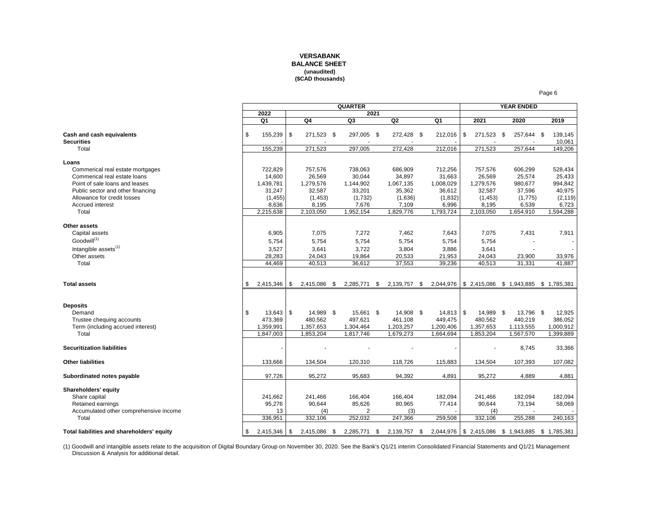#### **VERSABANK BALANCE SHEET (unaudited) (\$CAD thousands)**

|                                                |     |                  |                  |      |                  |                    | <b>YEAR ENDED</b> |                       |                 |     |                                                 |                   |
|------------------------------------------------|-----|------------------|------------------|------|------------------|--------------------|-------------------|-----------------------|-----------------|-----|-------------------------------------------------|-------------------|
|                                                |     | 2022             |                  |      | 2021             |                    |                   |                       |                 |     |                                                 |                   |
|                                                |     | Q <sub>1</sub>   | Q4               |      | Q3               | Q2                 |                   | Q <sub>1</sub>        | 2021            |     | 2020                                            | 2019              |
| Cash and cash equivalents<br><b>Securities</b> | \$  | 155,239          | \$<br>271,523 \$ |      | 297,005 \$       | 272,428 \$         |                   | 212,016               | \$<br>271,523   | -\$ | 257,644 \$                                      | 139,145<br>10,061 |
| Total                                          |     | 155,239          | 271,523          |      | 297,005          | 272,428            |                   | 212,016               | 271,523         |     | 257,644                                         | 149,206           |
|                                                |     |                  |                  |      |                  |                    |                   |                       |                 |     |                                                 |                   |
| Loans                                          |     |                  |                  |      |                  |                    |                   |                       |                 |     |                                                 |                   |
| Commerical real estate mortgages               |     | 722,829          | 757,576          |      | 738,063          | 686,909            |                   | 712,256               | 757,576         |     | 606,299                                         | 528,434           |
| Commerical real estate loans                   |     | 14,600           | 26,569           |      | 30,044           | 34,897             |                   | 31,663                | 26,569          |     | 25,574                                          | 25,433            |
| Point of sale loans and leases                 |     | 1,439,781        | 1,279,576        |      | 1,144,902        | 1,067,135          |                   | 1,008,029             | 1,279,576       |     | 980,677                                         | 994,842           |
| Public sector and other financing              |     | 31,247           | 32,587           |      | 33,201           | 35,362             |                   | 36,612                | 32,587          |     | 37,596                                          | 40,975            |
| Allowance for credit losses                    |     | (1, 455)         | (1, 453)         |      | (1,732)          | (1,636)            |                   | (1,832)               | (1, 453)        |     | (1,775)                                         | (2, 119)          |
| Accrued interest                               |     | 8,636            | 8,195            |      | 7,676            | 7,109              |                   | 6,996                 | 8,195           |     | 6,539                                           | 6,723             |
| Total                                          |     | 2,215,638        | 2,103,050        |      | 1,952,154        | 1,829,776          |                   | 1,793,724             | 2,103,050       |     | 1,654,910                                       | 1,594,288         |
| Other assets                                   |     |                  |                  |      |                  |                    |                   |                       |                 |     |                                                 |                   |
| Capital assets                                 |     | 6,905            | 7,075            |      | 7,272            | 7,462              |                   | 7,643                 | 7,075           |     | 7,431                                           | 7,911             |
| Goodwill <sup>(1)</sup>                        |     | 5,754            | 5,754            |      | 5,754            | 5,754              |                   | 5,754                 | 5,754           |     |                                                 |                   |
| Intangible assets <sup>(1)</sup>               |     | 3,527            | 3,641            |      | 3,722            | 3,804              |                   |                       |                 |     |                                                 |                   |
| Other assets                                   |     |                  |                  |      |                  |                    |                   | 3,886                 | 3,641<br>24,043 |     |                                                 |                   |
|                                                |     | 28,283<br>44,469 | 24,043<br>40,513 |      | 19,864<br>36,612 | 20,533<br>37,553   |                   | 21,953<br>39,236      | 40,513          |     | 23,900<br>31,331                                | 33,976<br>41,887  |
| Total                                          |     |                  |                  |      |                  |                    |                   |                       |                 |     |                                                 |                   |
| <b>Total assets</b>                            | \$. | 2,415,346        | \$<br>2,415,086  | - \$ | 2,285,771        | \$<br>2,139,757 \$ |                   | 2,044,976 \$2,415,086 |                 |     | \$1,943,885 \$1,785,381                         |                   |
|                                                |     |                  |                  |      |                  |                    |                   |                       |                 |     |                                                 |                   |
| <b>Deposits</b>                                |     |                  |                  |      |                  |                    |                   |                       |                 |     |                                                 |                   |
| Demand                                         | \$  | 13,643           | \$<br>14,989 \$  |      | 15,661 \$        | 14.908 \$          |                   | $14,813$ \ \$         | 14.989 \$       |     | 13,796 \$                                       | 12,925            |
| Trustee chequing accounts                      |     | 473,369          | 480,562          |      | 497,621          | 461,108            |                   | 449,475               | 480,562         |     | 440,219                                         | 386,052           |
| Term (including accrued interest)              |     | 1,359,991        | 1,357,653        |      | 1,304,464        | 1,203,257          |                   | 1,200,406             | 1,357,653       |     | 1,113,555                                       | 1,000,912         |
| Total                                          |     | 1,847,003        | 1,853,204        |      | 1,817,746        | 1,679,273          |                   | 1,664,694             | 1,853,204       |     | 1,567,570                                       | 1,399,889         |
| <b>Securitization liabilities</b>              |     |                  |                  |      |                  |                    |                   |                       |                 |     | 8,745                                           | 33,366            |
| <b>Other liabilities</b>                       |     | 133,666          | 134,504          |      | 120,310          | 118,726            |                   | 115,883               | 134,504         |     | 107,393                                         | 107,082           |
| Subordinated notes payable                     |     | 97,726           | 95,272           |      | 95,683           | 94,392             |                   | 4,891                 | 95,272          |     | 4,889                                           | 4,881             |
|                                                |     |                  |                  |      |                  |                    |                   |                       |                 |     |                                                 |                   |
| Shareholders' equity                           |     |                  |                  |      |                  |                    |                   |                       |                 |     |                                                 |                   |
| Share capital                                  |     | 241,662          | 241,466          |      | 166,404          | 166,404            |                   | 182,094               | 241,466         |     | 182,094                                         | 182,094           |
| Retained earnings                              |     | 95,276           | 90,644           |      | 85,626           | 80,965             |                   | 77,414                | 90,644          |     | 73,194                                          | 58,069            |
| Accumulated other comprehensive income         |     | 13               | (4)              |      | 2                | (3)                |                   |                       | (4)             |     |                                                 |                   |
| Total                                          |     | 336,951          | 332,106          |      | 252,032          | 247,366            |                   | 259,508               | 332,106         |     | 255,288                                         | 240,163           |
| Total liabilities and shareholders' equity     | \$  | 2,415,346        | \$<br>2,415,086  | - \$ | 2,285,771 \$     | 2,139,757 \$       |                   |                       |                 |     | 2,044,976   \$2,415,086 \$1,943,885 \$1,785,381 |                   |

(1) Goodwill and intangible assets relate to the acquisition of Digital Boundary Group on November 30, 2020. See the Bank's Q1/21 interim Consolidated Financial Statements and Q1/21 Management Discussion & Analysis for additional detail.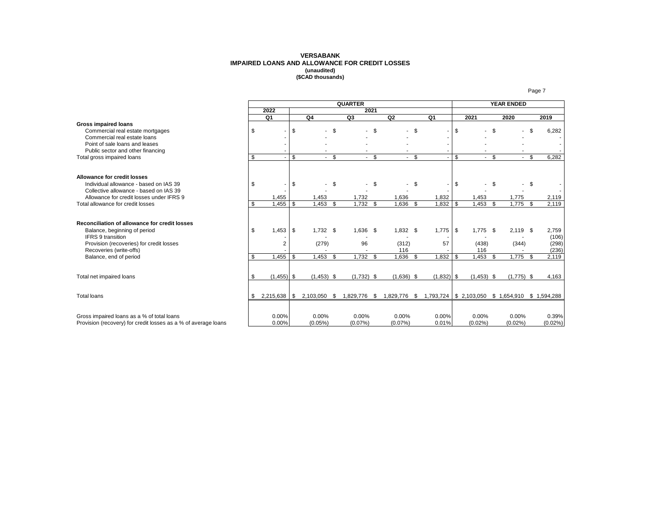#### **VERSABANK IMPAIRED LOANS AND ALLOWANCE FOR CREDIT LOSSES (unaudited) (\$CAD thousands)**

|                                                                                                                                                                                                     |          |                                   |              |                              |        | <b>QUARTER</b>                 |      |                                     |     |                      |              |                                     |      | <b>YEAR ENDED</b>                                   |      |                                           |
|-----------------------------------------------------------------------------------------------------------------------------------------------------------------------------------------------------|----------|-----------------------------------|--------------|------------------------------|--------|--------------------------------|------|-------------------------------------|-----|----------------------|--------------|-------------------------------------|------|-----------------------------------------------------|------|-------------------------------------------|
|                                                                                                                                                                                                     |          | 2022                              |              |                              |        | 2021                           |      |                                     |     |                      |              |                                     |      |                                                     |      |                                           |
|                                                                                                                                                                                                     |          | Q <sub>1</sub>                    |              | Q <sub>4</sub>               |        | Q3                             |      | Q2                                  |     | Q <sub>1</sub>       |              | 2021                                |      | 2020                                                |      | 2019                                      |
| <b>Gross impaired loans</b><br>Commercial real estate mortgages<br>Commercial real estate loans<br>Point of sale loans and leases                                                                   | \$       | $\blacksquare$                    | \$           |                              | $-$ \$ |                                | - \$ |                                     | \$  |                      | \$.          |                                     | - \$ |                                                     | S.   | 6,282                                     |
| Public sector and other financing                                                                                                                                                                   |          |                                   |              |                              |        |                                |      |                                     |     |                      |              |                                     |      |                                                     |      |                                           |
| Total gross impaired loans                                                                                                                                                                          | \$.      | $\overline{\phantom{a}}$          | \$           |                              | - \$   |                                | - \$ | ÷.                                  | \$. |                      | -S           | $\sim$                              | - \$ | $\sim$                                              | - \$ | 6,282                                     |
| Allowance for credit losses<br>Individual allowance - based on IAS 39<br>Collective allowance - based on IAS 39<br>Allowance for credit losses under IFRS 9                                         | \$       | $\overline{\phantom{a}}$<br>1,455 | \$           | 1,453                        | $-$ \$ | 1,732                          | \$   | 1,636                               | \$  | 1,832                | -\$          | 1,453                               | \$   | $\sim$<br>1,775                                     | \$   | 2,119                                     |
| Total allowance for credit losses                                                                                                                                                                   | \$       | .455                              | - \$         | 1.453                        | \$     | 1,732                          | - \$ | 1,636                               | \$  | 1.832                | l \$         | 1,453                               | \$   | 1,775                                               | - \$ | 2,119                                     |
| Reconciliation of allowance for credit losses<br>Balance, beginning of period<br>IFRS 9 transition<br>Provision (recoveries) for credit losses<br>Recoveries (write-offs)<br>Balance, end of period | \$<br>\$ | 1,453<br>$\overline{2}$<br>1,455  | - \$<br>- \$ | $1,732$ \$<br>(279)<br>1.453 | \$     | $1,636$ \$<br>96<br>$1,732$ \$ |      | $1,832$ \$<br>(312)<br>116<br>1.636 | \$. | 1,775<br>57<br>1.832 | l \$<br>l \$ | $1,775$ \$<br>(438)<br>116<br>1.453 | \$   | $2,119$ \$<br>(344)<br>$\blacksquare$<br>$1,775$ \$ |      | 2,759<br>(106)<br>(298)<br>(236)<br>2,119 |
| Total net impaired loans                                                                                                                                                                            | £.       | $(1,455)$ \$                      |              | $(1,453)$ \$                 |        | $(1,732)$ \$                   |      | $(1,636)$ \$                        |     | $(1,832)$ \$         |              | $(1,453)$ \$                        |      | $(1,775)$ \$                                        |      | 4,163                                     |
| Total loans                                                                                                                                                                                         | \$.      | 2,215,638                         | <b>S</b>     | 2,103,050 \$                 |        | 1,829,776                      | - \$ | 1,829,776                           | \$  | 1,793,724            |              |                                     |      | \$ 2,103,050 \$ 1,654,910 \$ 1,594,288              |      |                                           |
| Gross impaired loans as a % of total loans<br>Provision (recovery) for credit losses as a % of average loans                                                                                        |          | 0.00%<br>0.00%                    |              | 0.00%<br>$(0.05\%)$          |        | 0.00%<br>(0.07%)               |      | 0.00%<br>(0.07%)                    |     | 0.00%<br>0.01%       |              | 0.00%<br>$(0.02\%)$                 |      | 0.00%<br>$(0.02\%)$                                 |      | 0.39%<br>$(0.02\%)$                       |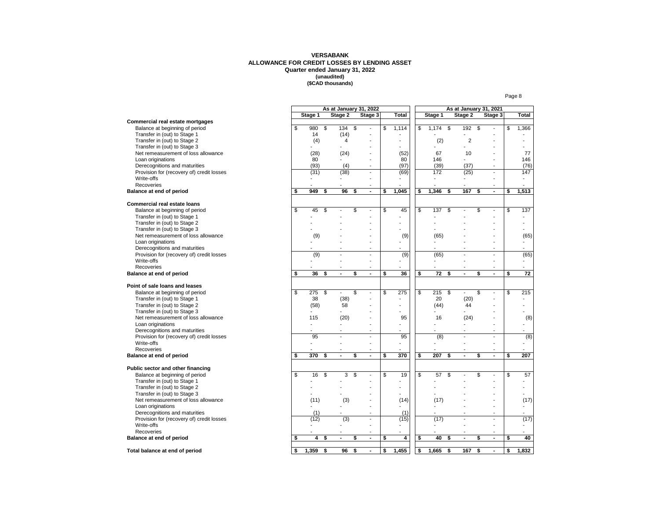#### **VERSABANK ALLOWANCE FOR CREDIT LOSSES BY LENDING ASSET Quarter ended January 31, 2022 (unaudited) (\$CAD thousands)**

|                                           |               |         |               | As at January 31, 2022 |    |                          |    |                |               |         |    | As at January 31, 2021 |                                |    |                          |
|-------------------------------------------|---------------|---------|---------------|------------------------|----|--------------------------|----|----------------|---------------|---------|----|------------------------|--------------------------------|----|--------------------------|
|                                           |               | Stage 1 |               | Stage 2                |    | Stage 3                  |    | <b>Total</b>   |               | Stage 1 |    | Stage 2                | Stage 3                        |    | Total                    |
| Commercial real estate mortgages          |               |         |               |                        |    |                          |    |                |               |         |    |                        |                                |    |                          |
| Balance at beginning of period            | \$            | 980     | $\mathsf{\$}$ | 134                    | \$ |                          | \$ | 1,114          | \$            | 1,174   | s, | 192                    | \$                             | \$ | 1,366                    |
| Transfer in (out) to Stage 1              |               | 14      |               | (14)                   |    |                          |    |                |               |         |    |                        |                                |    |                          |
| Transfer in (out) to Stage 2              |               | (4)     |               | 4                      |    |                          |    | ÷,             |               | (2)     |    | $\overline{2}$         | L,                             |    |                          |
| Transfer in (out) to Stage 3              |               |         |               |                        |    |                          |    |                |               |         |    |                        |                                |    |                          |
| Net remeasurement of loss allowance       |               | (28)    |               | (24)                   |    |                          |    | (52)           |               | 67      |    | 10                     | $\overline{a}$                 |    | 77                       |
| Loan originations                         |               | 80      |               |                        |    |                          |    | 80             |               | 146     |    |                        | ÷,                             |    | 146                      |
| Derecognitions and maturities             |               | (93)    |               | (4)                    |    | ÷,                       |    | (97)           |               | (39)    |    | (37)                   | L,                             |    | (76)                     |
| Provision for (recovery of) credit losses |               | (31)    |               | (38)                   |    | $\overline{a}$           |    | (69)           |               | 172     |    | (25)                   | $\blacksquare$                 |    | 147                      |
| Write-offs                                |               |         |               |                        |    | $\overline{a}$           |    |                |               |         |    |                        | ä,                             |    | $\sim$                   |
| Recoveries                                |               |         |               |                        |    |                          |    |                |               |         |    |                        | ä,                             |    |                          |
| Balance at end of period                  | \$            | 949     | \$            | 96                     | s  | ä,                       | \$ | 1.045          | \$            | 1,346   | \$ | 167                    | \$<br>$\blacksquare$           | \$ | 1,513                    |
| <b>Commercial real estate loans</b>       |               |         |               |                        |    |                          |    |                |               |         |    |                        |                                |    |                          |
| Balance at beginning of period            | \$            | 45      | \$            |                        | \$ | $\overline{a}$           | S  | 45             | S             | 137     | \$ |                        | \$<br>L,                       | \$ | 137                      |
|                                           |               |         |               |                        |    |                          |    | $\overline{a}$ |               |         |    |                        |                                |    |                          |
| Transfer in (out) to Stage 1              |               |         |               |                        |    |                          |    | $\overline{a}$ |               |         |    |                        |                                |    |                          |
| Transfer in (out) to Stage 2              |               |         |               |                        |    |                          |    | ä,             |               |         |    |                        | L,                             |    |                          |
| Transfer in (out) to Stage 3              |               |         |               |                        |    |                          |    |                |               |         |    |                        |                                |    |                          |
| Net remeasurement of loss allowance       |               | (9)     |               |                        |    |                          |    | (9)            |               | (65)    |    |                        |                                |    | (65)                     |
| Loan originations                         |               |         |               |                        |    |                          |    | $\overline{a}$ |               |         |    |                        | $\overline{a}$                 |    |                          |
| Derecognitions and maturities             |               |         |               |                        |    | $\overline{\phantom{a}}$ |    |                |               |         |    |                        | $\overline{a}$                 |    |                          |
| Provision for (recovery of) credit losses |               | (9)     |               |                        |    | $\overline{a}$           |    | (9)            |               | (65)    |    |                        | $\overline{a}$                 |    | (65)                     |
| Write-offs                                |               |         |               |                        |    | $\blacksquare$           |    | L,             |               |         |    |                        | L,                             |    |                          |
| Recoveries                                |               |         |               | $\blacksquare$         |    | $\blacksquare$           |    |                |               |         |    |                        | $\blacksquare$                 |    |                          |
| Balance at end of period                  | \$            | 36      | \$            | $\blacksquare$         | \$ | ä,                       | \$ | 36             | \$            | 72      | \$ | $\blacksquare$         | \$<br>$\blacksquare$           | \$ | $\overline{72}$          |
| Point of sale loans and leases            |               |         |               |                        |    |                          |    |                |               |         |    |                        |                                |    |                          |
| Balance at beginning of period            | $\mathsf{\$}$ | 275     | $\mathfrak s$ | $\overline{a}$         | S  | $\overline{a}$           | \$ | 275            | $\mathsf{\$}$ | 215     | \$ |                        | \$<br>L,                       | \$ | 215                      |
| Transfer in (out) to Stage 1              |               | 38      |               | (38)                   |    |                          |    | $\overline{a}$ |               | 20      |    | (20)                   | L,                             |    |                          |
| Transfer in (out) to Stage 2              |               | (58)    |               | 58                     |    |                          |    |                |               | (44)    |    | 44                     | ä,                             |    |                          |
| Transfer in (out) to Stage 3              |               |         |               |                        |    |                          |    |                |               |         |    |                        |                                |    |                          |
| Net remeasurement of loss allowance       |               | 115     |               | (20)                   |    |                          |    | 95             |               | 16      |    | (24)                   | L,                             |    | (8)                      |
| Loan originations                         |               |         |               |                        |    |                          |    | L.             |               |         |    |                        | ÷,                             |    |                          |
| Derecognitions and maturities             |               |         |               |                        |    |                          |    | ÷              |               |         |    |                        | $\overline{a}$                 |    |                          |
| Provision for (recovery of) credit losses |               | 95      |               | ÷.                     |    | ÷.                       |    | 95             |               | (8)     |    | ÷.                     | $\overline{a}$                 |    | (8)                      |
|                                           |               |         |               | Ĭ.                     |    | $\overline{a}$           |    | $\overline{a}$ |               |         |    |                        | L.                             |    |                          |
| Write-offs                                |               |         |               |                        |    | $\overline{a}$           |    |                |               |         |    |                        | ä,                             |    |                          |
| Recoveries                                | \$            | 370     | \$            | $\blacksquare$         | \$ | ÷,                       | \$ | 370            | \$            | 207     | \$ | $\blacksquare$         | \$<br>ä,                       | \$ | 207                      |
| Balance at end of period                  |               |         |               |                        |    |                          |    |                |               |         |    |                        |                                |    |                          |
| Public sector and other financing         |               |         |               |                        |    |                          |    |                |               |         |    |                        |                                |    |                          |
| Balance at beginning of period            | $\mathsf{\$}$ | 16      | \$            | 3                      | \$ | $\overline{\phantom{a}}$ | S  | 19             | S             | 57      | \$ |                        | \$<br>$\overline{\phantom{m}}$ | S  | 57                       |
| Transfer in (out) to Stage 1              |               |         |               |                        |    |                          |    | $\overline{a}$ |               |         |    |                        | $\overline{a}$                 |    |                          |
| Transfer in (out) to Stage 2              |               |         |               |                        |    |                          |    | L,             |               |         |    |                        | ä,                             |    |                          |
| Transfer in (out) to Stage 3              |               |         |               |                        |    |                          |    | ä,             |               |         |    |                        | $\overline{a}$                 |    |                          |
| Net remeasurement of loss allowance       |               | (11)    |               | (3)                    |    |                          |    | (14)           |               | (17)    |    |                        |                                |    | (17)                     |
| Loan originations                         |               |         |               |                        |    | $\overline{\phantom{a}}$ |    | ä,             |               |         |    |                        | ÷,                             |    | ۰                        |
| Derecognitions and maturities             |               | (1)     |               |                        |    | $\blacksquare$           |    | (1)            |               |         |    |                        | L,                             |    |                          |
| Provision for (recovery of) credit losses |               | (12)    |               | (3)                    |    | $\overline{a}$           |    | (15)           |               | (17)    |    |                        | $\overline{\phantom{a}}$       |    | (17)                     |
| Write-offs                                |               |         |               |                        |    | $\blacksquare$           |    |                |               |         |    |                        | $\overline{a}$                 |    | $\overline{\phantom{a}}$ |
| Recoveries                                |               |         |               |                        |    |                          |    |                |               |         |    |                        |                                |    |                          |
| Balance at end of period                  | \$            | 4       | \$            | $\blacksquare$         | \$ | ä,                       | \$ | 4              | \$            | 40      | \$ | ÷.                     | \$<br>$\blacksquare$           | \$ | 40                       |
|                                           |               |         |               |                        |    |                          |    |                |               |         |    |                        |                                |    |                          |
| Total balance at end of period            | \$            | 1,359   | \$            | 96                     | \$ | $\blacksquare$           | \$ | 1,455          | \$            | 1,665   | \$ | 167                    | \$<br>$\blacksquare$           | \$ | 1,832                    |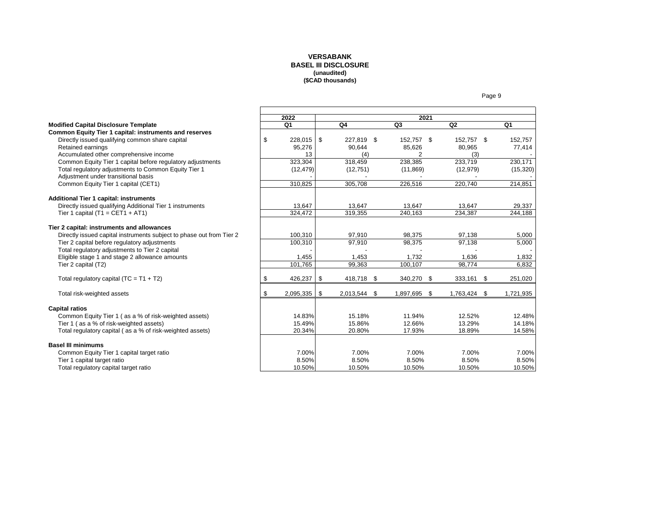## **VERSABANK BASEL III DISCLOSURE (unaudited) (\$CAD thousands)**

Page 9

|                                                                      | 2022                 |     |              |              | 2021           |              |                        |
|----------------------------------------------------------------------|----------------------|-----|--------------|--------------|----------------|--------------|------------------------|
| <b>Modified Capital Disclosure Template</b>                          | Q <sub>1</sub>       |     | Q4           | Q3           |                | Q2           | Q1                     |
| Common Equity Tier 1 capital: instruments and reserves               |                      |     |              |              |                |              |                        |
| Directly issued qualifying common share capital                      | \$<br>$228,015$ \$   |     | 227,819 \$   | 152,757 \$   |                | 152,757 \$   | 152,757                |
| Retained earnings                                                    | 95,276               |     | 90,644       | 85,626       |                | 80,965       | 77,414                 |
| Accumulated other comprehensive income                               | 13                   |     | (4)          |              | $\overline{2}$ | (3)          |                        |
| Common Equity Tier 1 capital before regulatory adjustments           | 323,304              |     | 318,459      | 238,385      |                | 233,719      | 230,171                |
| Total regulatory adjustments to Common Equity Tier 1                 | (12, 479)            |     | (12,751)     | (11, 869)    |                | (12, 979)    | (15, 320)              |
| Adjustment under transitional basis                                  |                      |     |              |              |                |              |                        |
| Common Equity Tier 1 capital (CET1)                                  | 310,825              |     | 305,708      | 226,516      |                | 220,740      | 214,851                |
| <b>Additional Tier 1 capital: instruments</b>                        |                      |     |              |              |                |              |                        |
| Directly issued qualifying Additional Tier 1 instruments             | 13,647               |     | 13.647       | 13.647       |                | 13,647       | 29,337                 |
| Tier 1 capital $(T1 = CET1 + AT1)$                                   | 324,472              |     | 319,355      | 240,163      |                | 234,387      | $\overline{244}$ , 188 |
| Tier 2 capital: instruments and allowances                           |                      |     |              |              |                |              |                        |
| Directly issued capital instruments subject to phase out from Tier 2 | 100,310              |     | 97,910       | 98,375       |                | 97,138       | 5,000                  |
| Tier 2 capital before regulatory adjustments                         | 100,310              |     | 97,910       | 98,375       |                | 97,138       | 5,000                  |
| Total regulatory adjustments to Tier 2 capital                       |                      |     |              |              |                |              |                        |
| Eligible stage 1 and stage 2 allowance amounts                       | 1,455                |     | 1,453        | 1,732        |                | 1,636        | 1,832                  |
| Tier 2 capital (T2)                                                  | 101.765              |     | 99.363       | 100, 107     |                | 98,774       | 6,832                  |
|                                                                      |                      |     |              |              |                |              |                        |
| Total regulatory capital $(TC = T1 + T2)$                            | \$<br>426,237        | -\$ | 418,718 \$   | 340,270 \$   |                | 333,161 \$   | 251,020                |
| Total risk-weighted assets                                           | \$<br>$2,095,335$ \$ |     | 2,013,544 \$ | 1,897,695 \$ |                | 1,763,424 \$ | 1,721,935              |
| <b>Capital ratios</b>                                                |                      |     |              |              |                |              |                        |
| Common Equity Tier 1 (as a % of risk-weighted assets)                | 14.83%               |     | 15.18%       | 11.94%       |                | 12.52%       | 12.48%                 |
| Tier 1 (as a % of risk-weighted assets)                              | 15.49%               |     | 15.86%       | 12.66%       |                | 13.29%       | 14.18%                 |
| Total regulatory capital (as a % of risk-weighted assets)            | 20.34%               |     | 20.80%       | 17.93%       |                | 18.89%       | 14.58%                 |
|                                                                      |                      |     |              |              |                |              |                        |
| <b>Basel III minimums</b>                                            |                      |     |              |              |                |              |                        |
| Common Equity Tier 1 capital target ratio                            | 7.00%                |     | 7.00%        | 7.00%        |                | 7.00%        | 7.00%                  |
| Tier 1 capital target ratio                                          | 8.50%                |     | 8.50%        | 8.50%        |                | 8.50%        | 8.50%                  |
| Total regulatory capital target ratio                                | 10.50%               |     | 10.50%       | 10.50%       |                | 10.50%       | 10.50%                 |